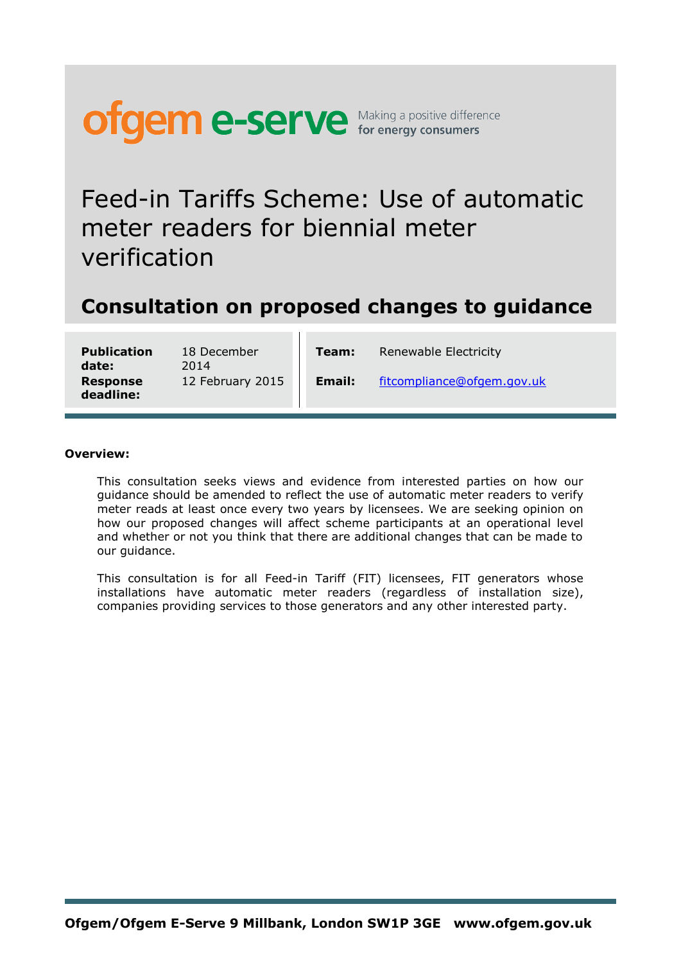

Feed-in Tariffs Scheme: Use of automatic meter readers for biennial meter verification

### **Consultation on proposed changes to guidance**

**Publication date: Response deadline:**

18 December 2014 12 February 2015 **Email:** [fitcompliance@ofgem.gov.uk](mailto:fitcompliance@ofgem.gov.uk)

**Team:** Renewable Electricity

#### **Overview:**

This consultation seeks views and evidence from interested parties on how our guidance should be amended to reflect the use of automatic meter readers to verify meter reads at least once every two years by licensees. We are seeking opinion on how our proposed changes will affect scheme participants at an operational level and whether or not you think that there are additional changes that can be made to our guidance.

This consultation is for all Feed-in Tariff (FIT) licensees, FIT generators whose installations have automatic meter readers (regardless of installation size), companies providing services to those generators and any other interested party.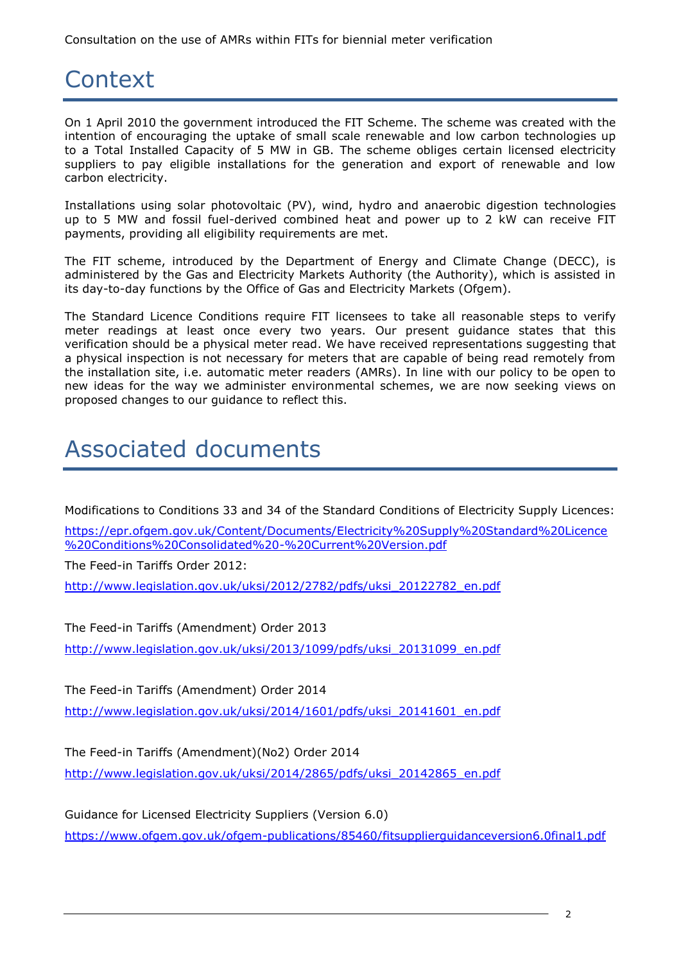### **Context**

On 1 April 2010 the government introduced the FIT Scheme. The scheme was created with the intention of encouraging the uptake of small scale renewable and low carbon technologies up to a Total Installed Capacity of 5 MW in GB. The scheme obliges certain licensed electricity suppliers to pay eligible installations for the generation and export of renewable and low carbon electricity.

Installations using solar photovoltaic (PV), wind, hydro and anaerobic digestion technologies up to 5 MW and fossil fuel-derived combined heat and power up to 2 kW can receive FIT payments, providing all eligibility requirements are met.

The FIT scheme, introduced by the Department of Energy and Climate Change (DECC), is administered by the Gas and Electricity Markets Authority (the Authority), which is assisted in its day-to-day functions by the Office of Gas and Electricity Markets (Ofgem).

The Standard Licence Conditions require FIT licensees to take all reasonable steps to verify meter readings at least once every two years. Our present guidance states that this verification should be a physical meter read. We have received representations suggesting that a physical inspection is not necessary for meters that are capable of being read remotely from the installation site, i.e. automatic meter readers (AMRs). In line with our policy to be open to new ideas for the way we administer environmental schemes, we are now seeking views on proposed changes to our guidance to reflect this.

## Associated documents

Modifications to Conditions 33 and 34 of the Standard Conditions of Electricity Supply Licences:

[https://epr.ofgem.gov.uk/Content/Documents/Electricity%20Supply%20Standard%20Licence](https://epr.ofgem.gov.uk/Content/Documents/Electricity%20Supply%20Standard%20Licence%20Conditions%20Consolidated%20-%20Current%20Version.pdf) [%20Conditions%20Consolidated%20-%20Current%20Version.pdf](https://epr.ofgem.gov.uk/Content/Documents/Electricity%20Supply%20Standard%20Licence%20Conditions%20Consolidated%20-%20Current%20Version.pdf)

The Feed-in Tariffs Order 2012:

[http://www.legislation.gov.uk/uksi/2012/2782/pdfs/uksi\\_20122782\\_en.pdf](http://www.legislation.gov.uk/uksi/2012/2782/pdfs/uksi_20122782_en.pdf)

The Feed-in Tariffs (Amendment) Order 2013

[http://www.legislation.gov.uk/uksi/2013/1099/pdfs/uksi\\_20131099\\_en.pdf](http://www.legislation.gov.uk/uksi/2013/1099/pdfs/uksi_20131099_en.pdf)

The Feed-in Tariffs (Amendment) Order 2014

[http://www.legislation.gov.uk/uksi/2014/1601/pdfs/uksi\\_20141601\\_en.pdf](http://www.legislation.gov.uk/uksi/2014/1601/pdfs/uksi_20141601_en.pdf)

The Feed-in Tariffs (Amendment)(No2) Order 2014

[http://www.legislation.gov.uk/uksi/2014/2865/pdfs/uksi\\_20142865\\_en.pdf](http://www.legislation.gov.uk/uksi/2014/2865/pdfs/uksi_20142865_en.pdf)

Guidance for Licensed Electricity Suppliers (Version 6.0) <https://www.ofgem.gov.uk/ofgem-publications/85460/fitsupplierguidanceversion6.0final1.pdf>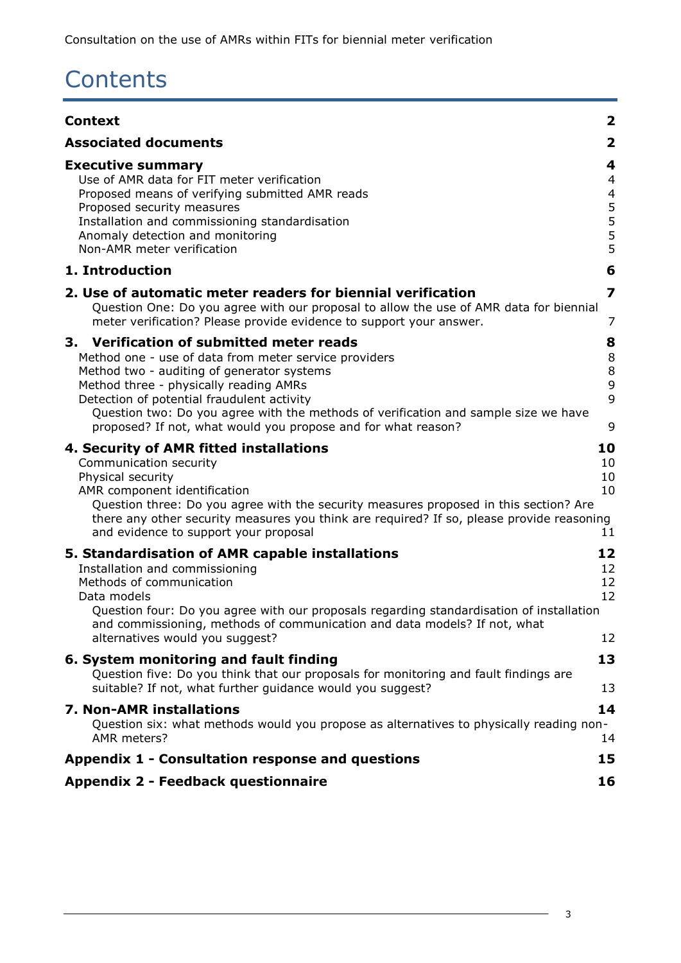# **Contents**

| <b>Context</b>                                                                                                                                                                                                                                                                                                                                                                                  | $\overline{\mathbf{2}}$                |
|-------------------------------------------------------------------------------------------------------------------------------------------------------------------------------------------------------------------------------------------------------------------------------------------------------------------------------------------------------------------------------------------------|----------------------------------------|
| <b>Associated documents</b>                                                                                                                                                                                                                                                                                                                                                                     | $\mathbf{2}$                           |
| <b>Executive summary</b><br>Use of AMR data for FIT meter verification<br>Proposed means of verifying submitted AMR reads<br>Proposed security measures<br>Installation and commissioning standardisation<br>Anomaly detection and monitoring<br>Non-AMR meter verification                                                                                                                     | 4<br>4<br>4<br>$\frac{5}{5}$<br>5<br>5 |
| 1. Introduction                                                                                                                                                                                                                                                                                                                                                                                 | 6                                      |
| 2. Use of automatic meter readers for biennial verification<br>Question One: Do you agree with our proposal to allow the use of AMR data for biennial<br>meter verification? Please provide evidence to support your answer.                                                                                                                                                                    | 7<br>7                                 |
| 3. Verification of submitted meter reads<br>Method one - use of data from meter service providers<br>Method two - auditing of generator systems<br>Method three - physically reading AMRs<br>Detection of potential fraudulent activity<br>Question two: Do you agree with the methods of verification and sample size we have<br>proposed? If not, what would you propose and for what reason? | 8<br>8<br>8<br>9<br>9<br>9             |
| 4. Security of AMR fitted installations<br>Communication security<br>Physical security<br>AMR component identification<br>Question three: Do you agree with the security measures proposed in this section? Are<br>there any other security measures you think are required? If so, please provide reasoning<br>and evidence to support your proposal                                           | 10<br>10<br>10<br>10<br>11             |
| 5. Standardisation of AMR capable installations<br>Installation and commissioning<br>Methods of communication<br>Data models<br>Question four: Do you agree with our proposals regarding standardisation of installation<br>and commissioning, methods of communication and data models? If not, what<br>alternatives would you suggest?                                                        | 12<br>12<br>12<br>12<br>12             |
| 6. System monitoring and fault finding<br>Question five: Do you think that our proposals for monitoring and fault findings are<br>suitable? If not, what further quidance would you suggest?                                                                                                                                                                                                    | 13<br>13                               |
| <b>7. Non-AMR installations</b><br>Question six: what methods would you propose as alternatives to physically reading non-<br>AMR meters?                                                                                                                                                                                                                                                       | 14<br>14                               |
| Appendix 1 - Consultation response and questions                                                                                                                                                                                                                                                                                                                                                | 15                                     |
| <b>Appendix 2 - Feedback questionnaire</b>                                                                                                                                                                                                                                                                                                                                                      | 16                                     |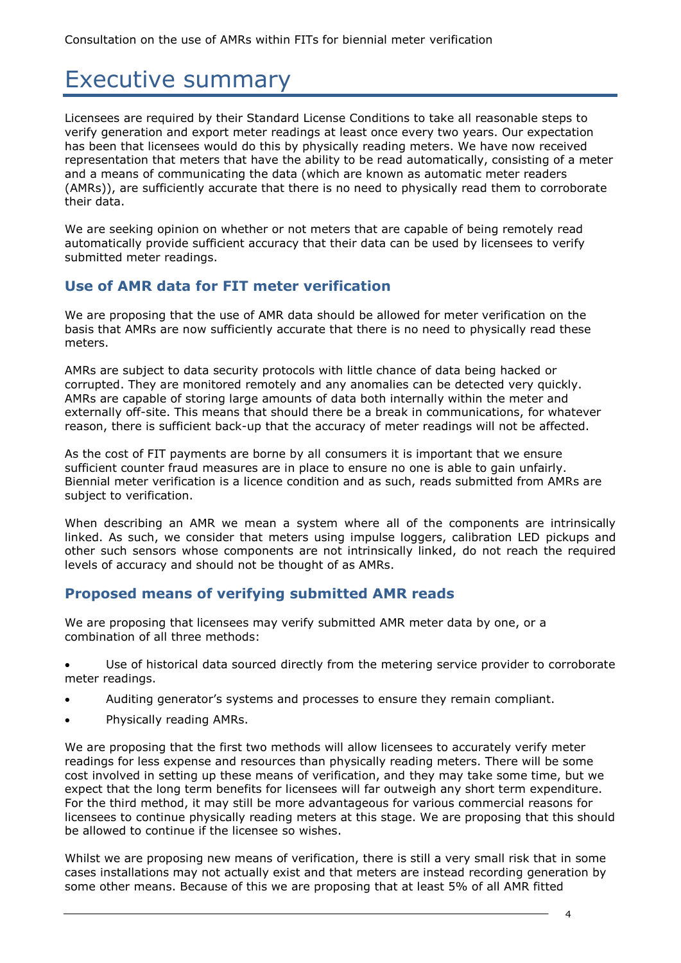### Executive summary

Licensees are required by their Standard License Conditions to take all reasonable steps to verify generation and export meter readings at least once every two years. Our expectation has been that licensees would do this by physically reading meters. We have now received representation that meters that have the ability to be read automatically, consisting of a meter and a means of communicating the data (which are known as automatic meter readers (AMRs)), are sufficiently accurate that there is no need to physically read them to corroborate their data.

We are seeking opinion on whether or not meters that are capable of being remotely read automatically provide sufficient accuracy that their data can be used by licensees to verify submitted meter readings.

### **Use of AMR data for FIT meter verification**

We are proposing that the use of AMR data should be allowed for meter verification on the basis that AMRs are now sufficiently accurate that there is no need to physically read these meters.

AMRs are subject to data security protocols with little chance of data being hacked or corrupted. They are monitored remotely and any anomalies can be detected very quickly. AMRs are capable of storing large amounts of data both internally within the meter and externally off-site. This means that should there be a break in communications, for whatever reason, there is sufficient back-up that the accuracy of meter readings will not be affected.

As the cost of FIT payments are borne by all consumers it is important that we ensure sufficient counter fraud measures are in place to ensure no one is able to gain unfairly. Biennial meter verification is a licence condition and as such, reads submitted from AMRs are subject to verification.

When describing an AMR we mean a system where all of the components are intrinsically linked. As such, we consider that meters using impulse loggers, calibration LED pickups and other such sensors whose components are not intrinsically linked, do not reach the required levels of accuracy and should not be thought of as AMRs.

### **Proposed means of verifying submitted AMR reads**

We are proposing that licensees may verify submitted AMR meter data by one, or a combination of all three methods:

- Use of historical data sourced directly from the metering service provider to corroborate meter readings.
- Auditing generator's systems and processes to ensure they remain compliant.
- Physically reading AMRs.

We are proposing that the first two methods will allow licensees to accurately verify meter readings for less expense and resources than physically reading meters. There will be some cost involved in setting up these means of verification, and they may take some time, but we expect that the long term benefits for licensees will far outweigh any short term expenditure. For the third method, it may still be more advantageous for various commercial reasons for licensees to continue physically reading meters at this stage. We are proposing that this should be allowed to continue if the licensee so wishes.

Whilst we are proposing new means of verification, there is still a very small risk that in some cases installations may not actually exist and that meters are instead recording generation by some other means. Because of this we are proposing that at least 5% of all AMR fitted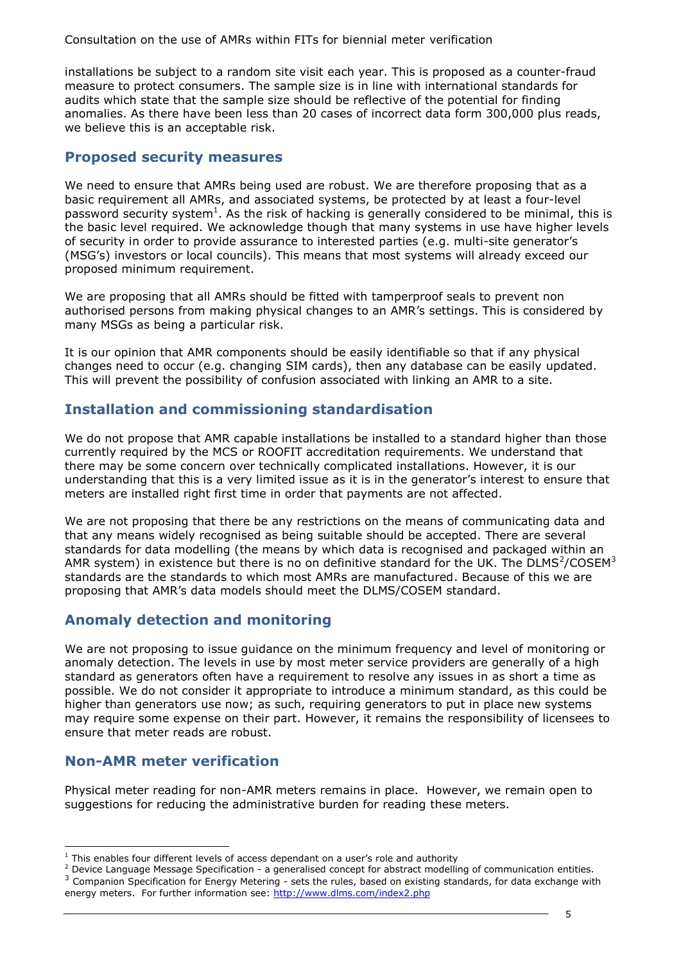Consultation on the use of AMRs within FITs for biennial meter verification

installations be subject to a random site visit each year. This is proposed as a counter-fraud measure to protect consumers. The sample size is in line with international standards for audits which state that the sample size should be reflective of the potential for finding anomalies. As there have been less than 20 cases of incorrect data form 300,000 plus reads, we believe this is an acceptable risk.

#### **Proposed security measures**

We need to ensure that AMRs being used are robust. We are therefore proposing that as a basic requirement all AMRs, and associated systems, be protected by at least a four-level password security system<sup>1</sup>. As the risk of hacking is generally considered to be minimal, this is the basic level required. We acknowledge though that many systems in use have higher levels of security in order to provide assurance to interested parties (e.g. multi-site generator's (MSG's) investors or local councils). This means that most systems will already exceed our proposed minimum requirement.

We are proposing that all AMRs should be fitted with tamperproof seals to prevent non authorised persons from making physical changes to an AMR's settings. This is considered by many MSGs as being a particular risk.

It is our opinion that AMR components should be easily identifiable so that if any physical changes need to occur (e.g. changing SIM cards), then any database can be easily updated. This will prevent the possibility of confusion associated with linking an AMR to a site.

### **Installation and commissioning standardisation**

We do not propose that AMR capable installations be installed to a standard higher than those currently required by the MCS or ROOFIT accreditation requirements. We understand that there may be some concern over technically complicated installations. However, it is our understanding that this is a very limited issue as it is in the generator's interest to ensure that meters are installed right first time in order that payments are not affected.

We are not proposing that there be any restrictions on the means of communicating data and that any means widely recognised as being suitable should be accepted. There are several standards for data modelling (the means by which data is recognised and packaged within an AMR system) in existence but there is no on definitive standard for the UK. The DLMS<sup>2</sup>/COSEM<sup>3</sup> standards are the standards to which most AMRs are manufactured. Because of this we are proposing that AMR's data models should meet the DLMS/COSEM standard.

### **Anomaly detection and monitoring**

We are not proposing to issue guidance on the minimum frequency and level of monitoring or anomaly detection. The levels in use by most meter service providers are generally of a high standard as generators often have a requirement to resolve any issues in as short a time as possible. We do not consider it appropriate to introduce a minimum standard, as this could be higher than generators use now; as such, requiring generators to put in place new systems may require some expense on their part. However, it remains the responsibility of licensees to ensure that meter reads are robust.

### **Non-AMR meter verification**

Physical meter reading for non-AMR meters remains in place. However, we remain open to suggestions for reducing the administrative burden for reading these meters.

<sup>-</sup> $1$  This enables four different levels of access dependant on a user's role and authority

<sup>&</sup>lt;sup>2</sup> Device Language Message Specification - a generalised concept for abstract modelling of communication entities. <sup>3</sup> Companion Specification for Energy Metering - sets the rules, based on existing standards, for data exchange with energy meters. For further information see:<http://www.dlms.com/index2.php>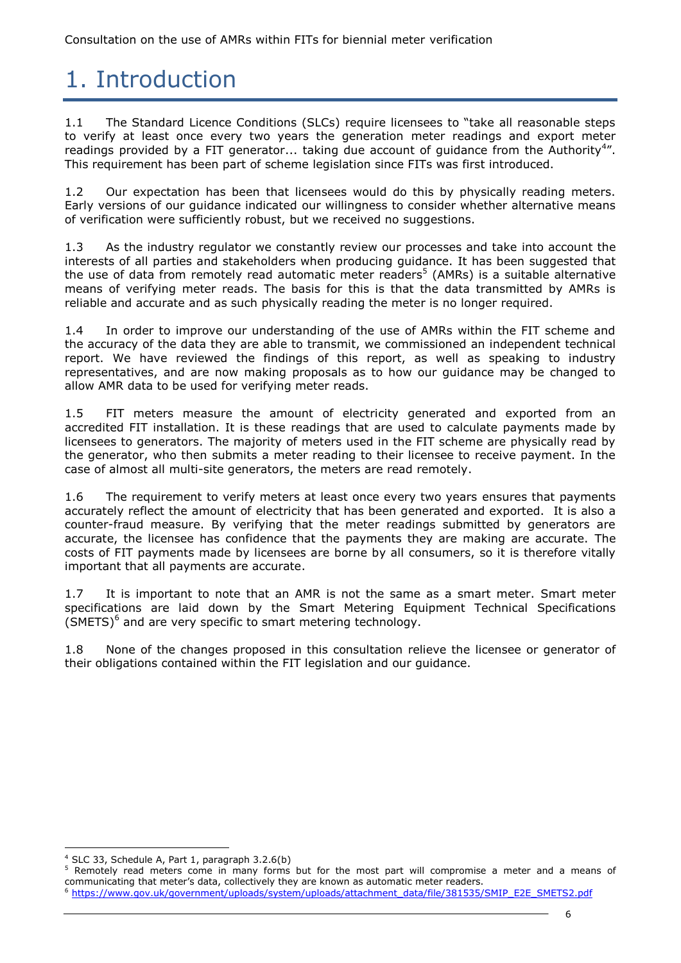## 1. Introduction

1.1 The Standard Licence Conditions (SLCs) require licensees to "take all reasonable steps to verify at least once every two years the generation meter readings and export meter readings provided by a FIT generator... taking due account of guidance from the Authority<sup>4</sup>". This requirement has been part of scheme legislation since FITs was first introduced.

1.2 Our expectation has been that licensees would do this by physically reading meters. Early versions of our guidance indicated our willingness to consider whether alternative means of verification were sufficiently robust, but we received no suggestions.

1.3 As the industry regulator we constantly review our processes and take into account the interests of all parties and stakeholders when producing guidance. It has been suggested that the use of data from remotely read automatic meter readers<sup>5</sup> (AMRs) is a suitable alternative means of verifying meter reads. The basis for this is that the data transmitted by AMRs is reliable and accurate and as such physically reading the meter is no longer required.

1.4 In order to improve our understanding of the use of AMRs within the FIT scheme and the accuracy of the data they are able to transmit, we commissioned an independent technical report. We have reviewed the findings of this report, as well as speaking to industry representatives, and are now making proposals as to how our guidance may be changed to allow AMR data to be used for verifying meter reads.

1.5 FIT meters measure the amount of electricity generated and exported from an accredited FIT installation. It is these readings that are used to calculate payments made by licensees to generators. The majority of meters used in the FIT scheme are physically read by the generator, who then submits a meter reading to their licensee to receive payment. In the case of almost all multi-site generators, the meters are read remotely.

1.6 The requirement to verify meters at least once every two years ensures that payments accurately reflect the amount of electricity that has been generated and exported. It is also a counter-fraud measure. By verifying that the meter readings submitted by generators are accurate, the licensee has confidence that the payments they are making are accurate. The costs of FIT payments made by licensees are borne by all consumers, so it is therefore vitally important that all payments are accurate.

1.7 It is important to note that an AMR is not the same as a smart meter. Smart meter specifications are laid down by the Smart Metering Equipment Technical Specifications  $(SMETS)^6$  and are very specific to smart metering technology.

1.8 None of the changes proposed in this consultation relieve the licensee or generator of their obligations contained within the FIT legislation and our guidance.

<sup>5</sup> Remotely read meters come in many forms but for the most part will compromise a meter and a means of communicating that meter's data, collectively they are known as automatic meter readers.

<sup>6</sup> [https://www.gov.uk/government/uploads/system/uploads/attachment\\_data/file/381535/SMIP\\_E2E\\_SMETS2.pdf](https://www.gov.uk/government/uploads/system/uploads/attachment_data/file/381535/SMIP_E2E_SMETS2.pdf)

<sup>-</sup><sup>4</sup> SLC 33, Schedule A, Part 1, paragraph 3.2.6(b)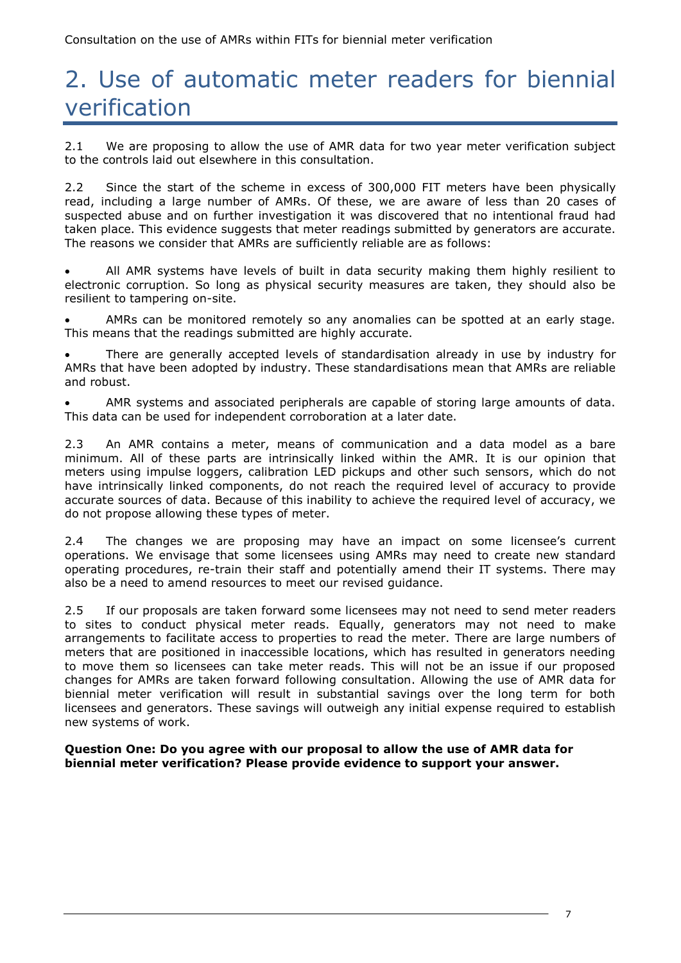## 2. Use of automatic meter readers for biennial verification

2.1 We are proposing to allow the use of AMR data for two year meter verification subject to the controls laid out elsewhere in this consultation.

2.2 Since the start of the scheme in excess of 300,000 FIT meters have been physically read, including a large number of AMRs. Of these, we are aware of less than 20 cases of suspected abuse and on further investigation it was discovered that no intentional fraud had taken place. This evidence suggests that meter readings submitted by generators are accurate. The reasons we consider that AMRs are sufficiently reliable are as follows:

 All AMR systems have levels of built in data security making them highly resilient to electronic corruption. So long as physical security measures are taken, they should also be resilient to tampering on-site.

 AMRs can be monitored remotely so any anomalies can be spotted at an early stage. This means that the readings submitted are highly accurate.

 There are generally accepted levels of standardisation already in use by industry for AMRs that have been adopted by industry. These standardisations mean that AMRs are reliable and robust.

 AMR systems and associated peripherals are capable of storing large amounts of data. This data can be used for independent corroboration at a later date.

2.3 An AMR contains a meter, means of communication and a data model as a bare minimum. All of these parts are intrinsically linked within the AMR. It is our opinion that meters using impulse loggers, calibration LED pickups and other such sensors, which do not have intrinsically linked components, do not reach the required level of accuracy to provide accurate sources of data. Because of this inability to achieve the required level of accuracy, we do not propose allowing these types of meter.

2.4 The changes we are proposing may have an impact on some licensee's current operations. We envisage that some licensees using AMRs may need to create new standard operating procedures, re-train their staff and potentially amend their IT systems. There may also be a need to amend resources to meet our revised guidance.

2.5 If our proposals are taken forward some licensees may not need to send meter readers to sites to conduct physical meter reads. Equally, generators may not need to make arrangements to facilitate access to properties to read the meter. There are large numbers of meters that are positioned in inaccessible locations, which has resulted in generators needing to move them so licensees can take meter reads. This will not be an issue if our proposed changes for AMRs are taken forward following consultation. Allowing the use of AMR data for biennial meter verification will result in substantial savings over the long term for both licensees and generators. These savings will outweigh any initial expense required to establish new systems of work.

**Question One: Do you agree with our proposal to allow the use of AMR data for biennial meter verification? Please provide evidence to support your answer.**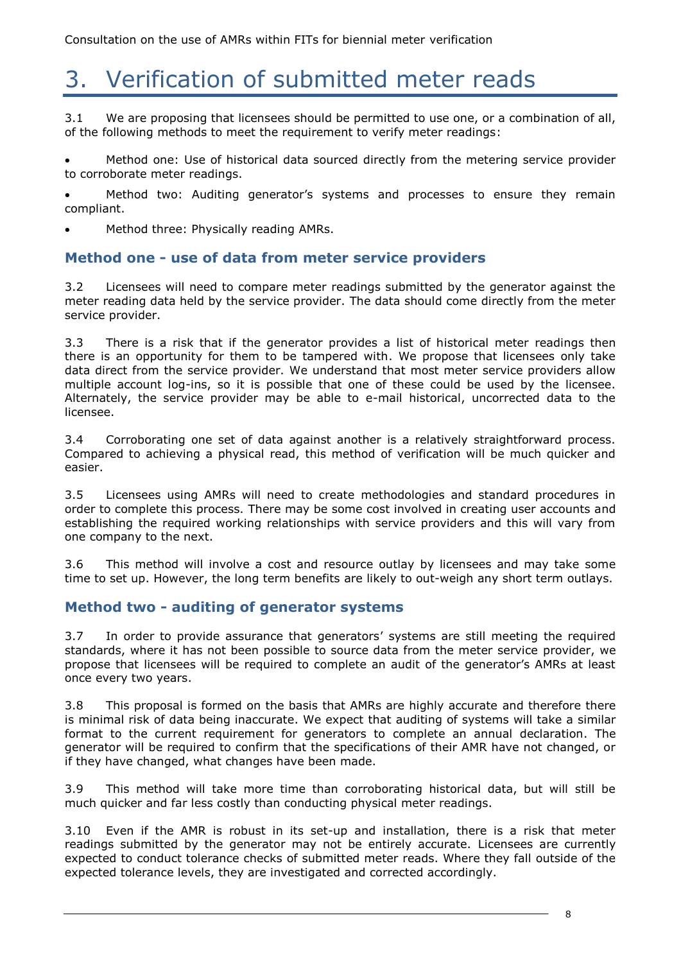## 3. Verification of submitted meter reads

3.1 We are proposing that licensees should be permitted to use one, or a combination of all, of the following methods to meet the requirement to verify meter readings:

 Method one: Use of historical data sourced directly from the metering service provider to corroborate meter readings.

 Method two: Auditing generator's systems and processes to ensure they remain compliant.

Method three: Physically reading AMRs.

#### **Method one - use of data from meter service providers**

3.2 Licensees will need to compare meter readings submitted by the generator against the meter reading data held by the service provider. The data should come directly from the meter service provider.

3.3 There is a risk that if the generator provides a list of historical meter readings then there is an opportunity for them to be tampered with. We propose that licensees only take data direct from the service provider. We understand that most meter service providers allow multiple account log-ins, so it is possible that one of these could be used by the licensee. Alternately, the service provider may be able to e-mail historical, uncorrected data to the licensee.

3.4 Corroborating one set of data against another is a relatively straightforward process. Compared to achieving a physical read, this method of verification will be much quicker and easier.

3.5 Licensees using AMRs will need to create methodologies and standard procedures in order to complete this process. There may be some cost involved in creating user accounts and establishing the required working relationships with service providers and this will vary from one company to the next.

3.6 This method will involve a cost and resource outlay by licensees and may take some time to set up. However, the long term benefits are likely to out-weigh any short term outlays.

#### **Method two - auditing of generator systems**

3.7 In order to provide assurance that generators' systems are still meeting the required standards, where it has not been possible to source data from the meter service provider, we propose that licensees will be required to complete an audit of the generator's AMRs at least once every two years.

3.8 This proposal is formed on the basis that AMRs are highly accurate and therefore there is minimal risk of data being inaccurate. We expect that auditing of systems will take a similar format to the current requirement for generators to complete an annual declaration. The generator will be required to confirm that the specifications of their AMR have not changed, or if they have changed, what changes have been made.

3.9 This method will take more time than corroborating historical data, but will still be much quicker and far less costly than conducting physical meter readings.

3.10 Even if the AMR is robust in its set-up and installation, there is a risk that meter readings submitted by the generator may not be entirely accurate. Licensees are currently expected to conduct tolerance checks of submitted meter reads. Where they fall outside of the expected tolerance levels, they are investigated and corrected accordingly.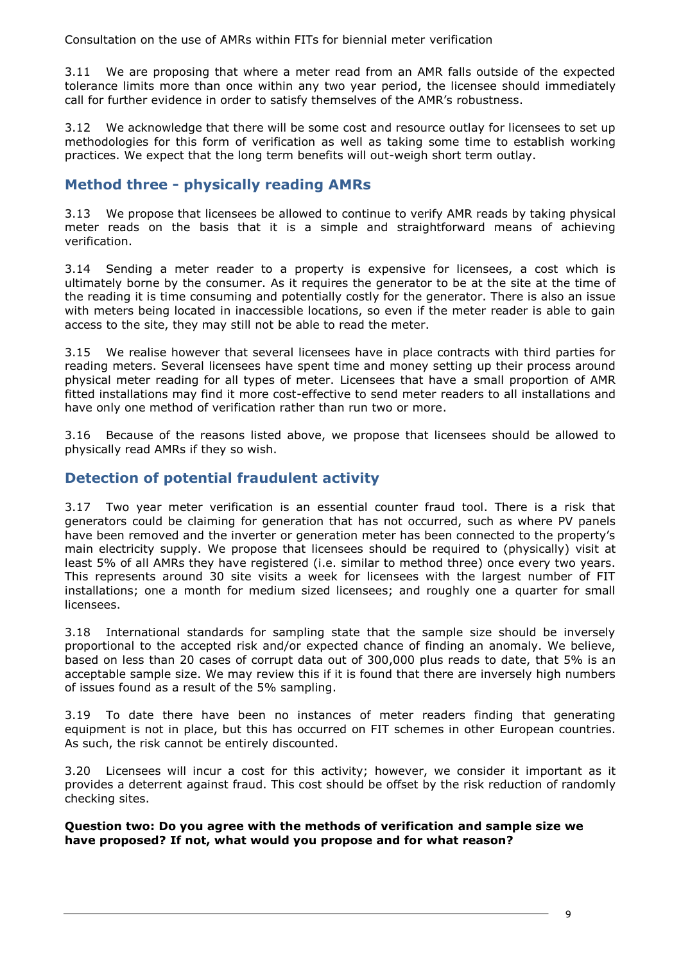Consultation on the use of AMRs within FITs for biennial meter verification

3.11 We are proposing that where a meter read from an AMR falls outside of the expected tolerance limits more than once within any two year period, the licensee should immediately call for further evidence in order to satisfy themselves of the AMR's robustness.

3.12 We acknowledge that there will be some cost and resource outlay for licensees to set up methodologies for this form of verification as well as taking some time to establish working practices. We expect that the long term benefits will out-weigh short term outlay.

### **Method three - physically reading AMRs**

3.13 We propose that licensees be allowed to continue to verify AMR reads by taking physical meter reads on the basis that it is a simple and straightforward means of achieving verification.

3.14 Sending a meter reader to a property is expensive for licensees, a cost which is ultimately borne by the consumer. As it requires the generator to be at the site at the time of the reading it is time consuming and potentially costly for the generator. There is also an issue with meters being located in inaccessible locations, so even if the meter reader is able to gain access to the site, they may still not be able to read the meter.

3.15 We realise however that several licensees have in place contracts with third parties for reading meters. Several licensees have spent time and money setting up their process around physical meter reading for all types of meter. Licensees that have a small proportion of AMR fitted installations may find it more cost-effective to send meter readers to all installations and have only one method of verification rather than run two or more.

3.16 Because of the reasons listed above, we propose that licensees should be allowed to physically read AMRs if they so wish.

### **Detection of potential fraudulent activity**

3.17 Two year meter verification is an essential counter fraud tool. There is a risk that generators could be claiming for generation that has not occurred, such as where PV panels have been removed and the inverter or generation meter has been connected to the property's main electricity supply. We propose that licensees should be required to (physically) visit at least 5% of all AMRs they have registered (i.e. similar to method three) once every two years. This represents around 30 site visits a week for licensees with the largest number of FIT installations; one a month for medium sized licensees; and roughly one a quarter for small licensees.

3.18 International standards for sampling state that the sample size should be inversely proportional to the accepted risk and/or expected chance of finding an anomaly. We believe, based on less than 20 cases of corrupt data out of 300,000 plus reads to date, that 5% is an acceptable sample size. We may review this if it is found that there are inversely high numbers of issues found as a result of the 5% sampling.

3.19 To date there have been no instances of meter readers finding that generating equipment is not in place, but this has occurred on FIT schemes in other European countries. As such, the risk cannot be entirely discounted.

3.20 Licensees will incur a cost for this activity; however, we consider it important as it provides a deterrent against fraud. This cost should be offset by the risk reduction of randomly checking sites.

**Question two: Do you agree with the methods of verification and sample size we have proposed? If not, what would you propose and for what reason?**

9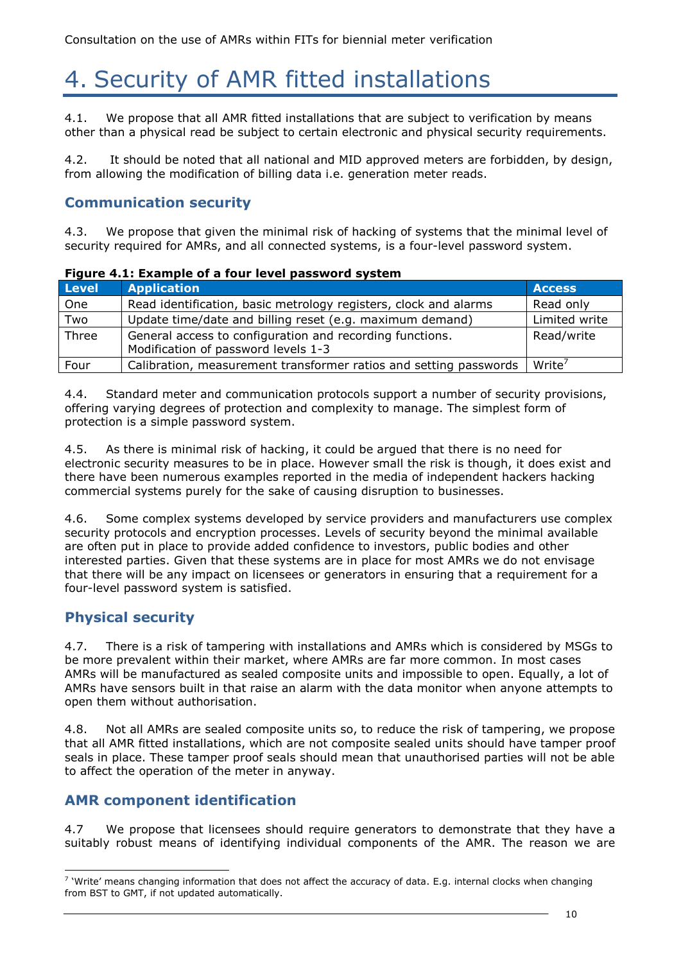# 4. Security of AMR fitted installations

4.1. We propose that all AMR fitted installations that are subject to verification by means other than a physical read be subject to certain electronic and physical security requirements.

4.2. It should be noted that all national and MID approved meters are forbidden, by design, from allowing the modification of billing data i.e. generation meter reads.

### **Communication security**

4.3. We propose that given the minimal risk of hacking of systems that the minimal level of security required for AMRs, and all connected systems, is a four-level password system.

#### **Figure 4.1: Example of a four level password system**

| <b>Level</b> | <b>Application</b>                                                | <b>Access</b>      |
|--------------|-------------------------------------------------------------------|--------------------|
| One          | Read identification, basic metrology registers, clock and alarms  | Read only          |
| Two          | Update time/date and billing reset (e.g. maximum demand)          | Limited write      |
| Three        | General access to configuration and recording functions.          | Read/write         |
|              | Modification of password levels 1-3                               |                    |
| Four         | Calibration, measurement transformer ratios and setting passwords | Write <sup>/</sup> |

4.4. Standard meter and communication protocols support a number of security provisions, offering varying degrees of protection and complexity to manage. The simplest form of protection is a simple password system.

4.5. As there is minimal risk of hacking, it could be argued that there is no need for electronic security measures to be in place. However small the risk is though, it does exist and there have been numerous examples reported in the media of independent hackers hacking commercial systems purely for the sake of causing disruption to businesses.

4.6. Some complex systems developed by service providers and manufacturers use complex security protocols and encryption processes. Levels of security beyond the minimal available are often put in place to provide added confidence to investors, public bodies and other interested parties. Given that these systems are in place for most AMRs we do not envisage that there will be any impact on licensees or generators in ensuring that a requirement for a four-level password system is satisfied.

### **Physical security**

4.7. There is a risk of tampering with installations and AMRs which is considered by MSGs to be more prevalent within their market, where AMRs are far more common. In most cases AMRs will be manufactured as sealed composite units and impossible to open. Equally, a lot of AMRs have sensors built in that raise an alarm with the data monitor when anyone attempts to open them without authorisation.

4.8. Not all AMRs are sealed composite units so, to reduce the risk of tampering, we propose that all AMR fitted installations, which are not composite sealed units should have tamper proof seals in place. These tamper proof seals should mean that unauthorised parties will not be able to affect the operation of the meter in anyway.

### **AMR component identification**

4.7 We propose that licensees should require generators to demonstrate that they have a suitably robust means of identifying individual components of the AMR. The reason we are

<sup>-</sup> $<sup>7</sup>$  'Write' means changing information that does not affect the accuracy of data. E.g. internal clocks when changing</sup> from BST to GMT, if not updated automatically.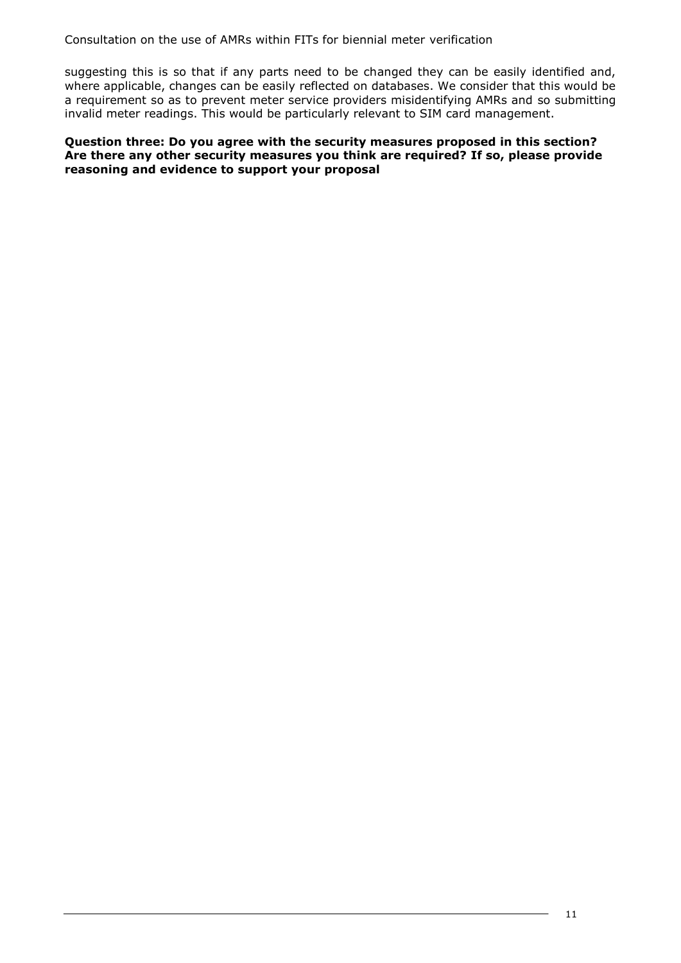Consultation on the use of AMRs within FITs for biennial meter verification

suggesting this is so that if any parts need to be changed they can be easily identified and, where applicable, changes can be easily reflected on databases. We consider that this would be a requirement so as to prevent meter service providers misidentifying AMRs and so submitting invalid meter readings. This would be particularly relevant to SIM card management.

#### **Question three: Do you agree with the security measures proposed in this section? Are there any other security measures you think are required? If so, please provide reasoning and evidence to support your proposal**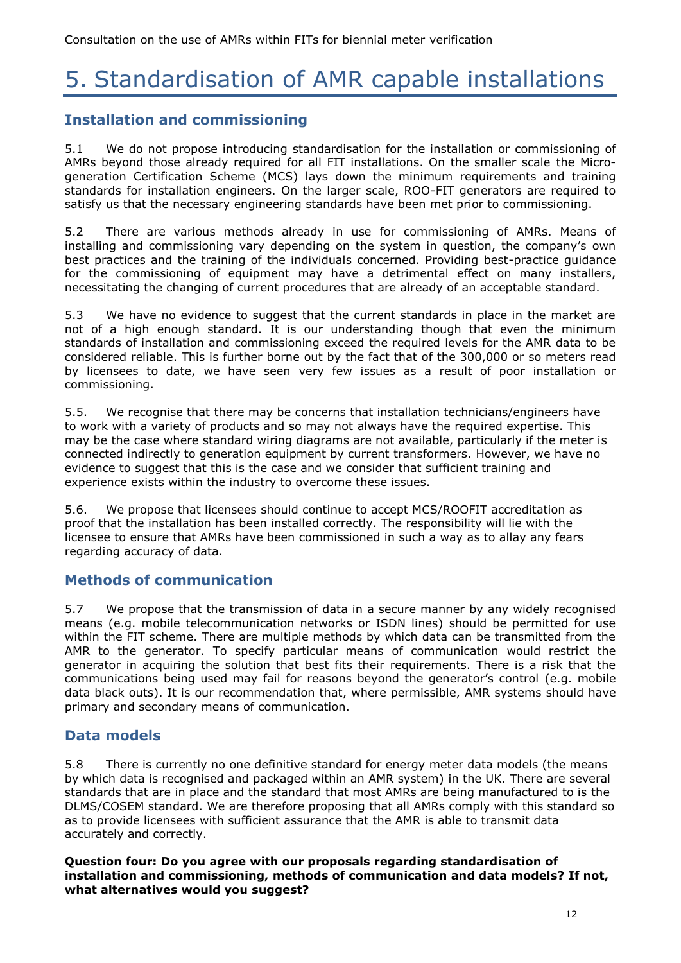# 5. Standardisation of AMR capable installations

### **Installation and commissioning**

5.1 We do not propose introducing standardisation for the installation or commissioning of AMRs beyond those already required for all FIT installations. On the smaller scale the Microgeneration Certification Scheme (MCS) lays down the minimum requirements and training standards for installation engineers. On the larger scale, ROO-FIT generators are required to satisfy us that the necessary engineering standards have been met prior to commissioning.

5.2 There are various methods already in use for commissioning of AMRs. Means of installing and commissioning vary depending on the system in question, the company's own best practices and the training of the individuals concerned. Providing best-practice guidance for the commissioning of equipment may have a detrimental effect on many installers, necessitating the changing of current procedures that are already of an acceptable standard.

5.3 We have no evidence to suggest that the current standards in place in the market are not of a high enough standard. It is our understanding though that even the minimum standards of installation and commissioning exceed the required levels for the AMR data to be considered reliable. This is further borne out by the fact that of the 300,000 or so meters read by licensees to date, we have seen very few issues as a result of poor installation or commissioning.

5.5. We recognise that there may be concerns that installation technicians/engineers have to work with a variety of products and so may not always have the required expertise. This may be the case where standard wiring diagrams are not available, particularly if the meter is connected indirectly to generation equipment by current transformers. However, we have no evidence to suggest that this is the case and we consider that sufficient training and experience exists within the industry to overcome these issues.

5.6. We propose that licensees should continue to accept MCS/ROOFIT accreditation as proof that the installation has been installed correctly. The responsibility will lie with the licensee to ensure that AMRs have been commissioned in such a way as to allay any fears regarding accuracy of data.

### **Methods of communication**

5.7 We propose that the transmission of data in a secure manner by any widely recognised means (e.g. mobile telecommunication networks or ISDN lines) should be permitted for use within the FIT scheme. There are multiple methods by which data can be transmitted from the AMR to the generator. To specify particular means of communication would restrict the generator in acquiring the solution that best fits their requirements. There is a risk that the communications being used may fail for reasons beyond the generator's control (e.g. mobile data black outs). It is our recommendation that, where permissible, AMR systems should have primary and secondary means of communication.

### **Data models**

5.8 There is currently no one definitive standard for energy meter data models (the means by which data is recognised and packaged within an AMR system) in the UK. There are several standards that are in place and the standard that most AMRs are being manufactured to is the DLMS/COSEM standard. We are therefore proposing that all AMRs comply with this standard so as to provide licensees with sufficient assurance that the AMR is able to transmit data accurately and correctly.

**Question four: Do you agree with our proposals regarding standardisation of installation and commissioning, methods of communication and data models? If not, what alternatives would you suggest?**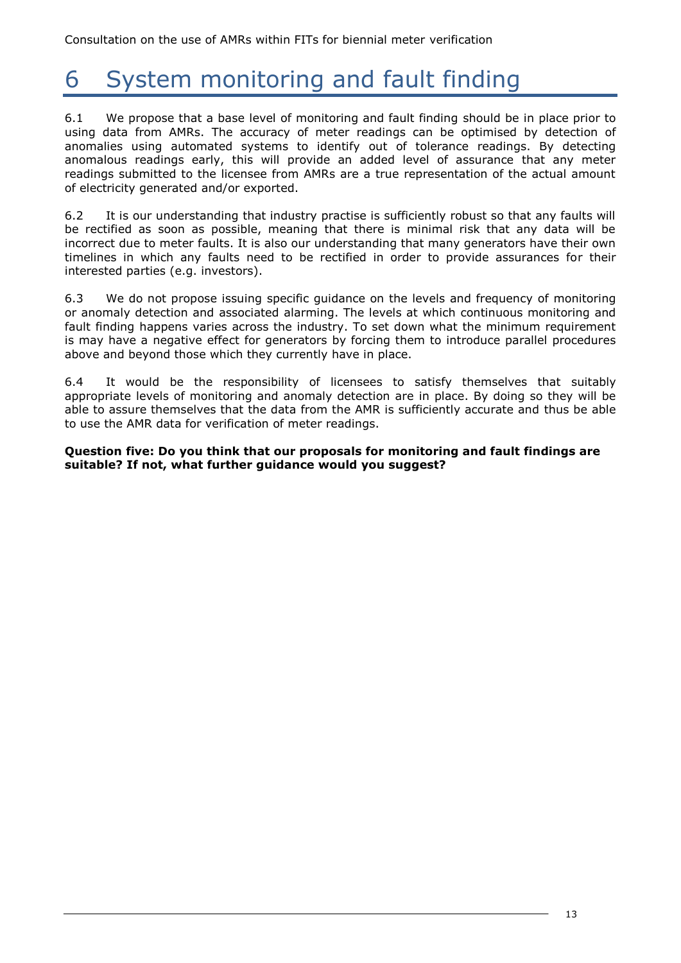# 6 System monitoring and fault finding

6.1 We propose that a base level of monitoring and fault finding should be in place prior to using data from AMRs. The accuracy of meter readings can be optimised by detection of anomalies using automated systems to identify out of tolerance readings. By detecting anomalous readings early, this will provide an added level of assurance that any meter readings submitted to the licensee from AMRs are a true representation of the actual amount of electricity generated and/or exported.

6.2 It is our understanding that industry practise is sufficiently robust so that any faults will be rectified as soon as possible, meaning that there is minimal risk that any data will be incorrect due to meter faults. It is also our understanding that many generators have their own timelines in which any faults need to be rectified in order to provide assurances for their interested parties (e.g. investors).

6.3 We do not propose issuing specific guidance on the levels and frequency of monitoring or anomaly detection and associated alarming. The levels at which continuous monitoring and fault finding happens varies across the industry. To set down what the minimum requirement is may have a negative effect for generators by forcing them to introduce parallel procedures above and beyond those which they currently have in place.

6.4 It would be the responsibility of licensees to satisfy themselves that suitably appropriate levels of monitoring and anomaly detection are in place. By doing so they will be able to assure themselves that the data from the AMR is sufficiently accurate and thus be able to use the AMR data for verification of meter readings.

**Question five: Do you think that our proposals for monitoring and fault findings are suitable? If not, what further guidance would you suggest?**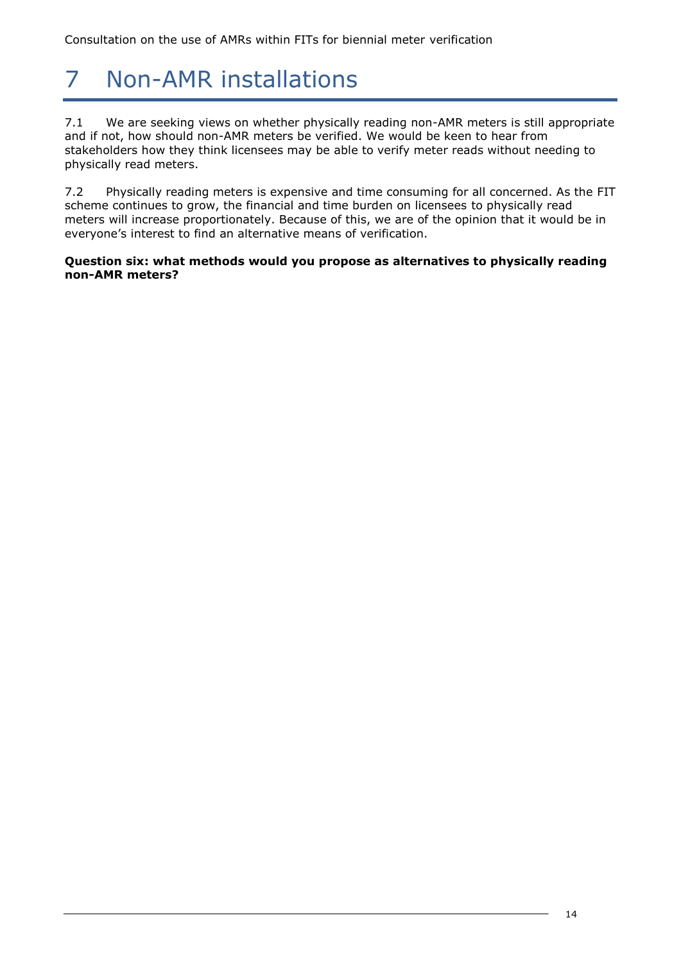# 7 Non-AMR installations

7.1 We are seeking views on whether physically reading non-AMR meters is still appropriate and if not, how should non-AMR meters be verified. We would be keen to hear from stakeholders how they think licensees may be able to verify meter reads without needing to physically read meters.

7.2 Physically reading meters is expensive and time consuming for all concerned. As the FIT scheme continues to grow, the financial and time burden on licensees to physically read meters will increase proportionately. Because of this, we are of the opinion that it would be in everyone's interest to find an alternative means of verification.

**Question six: what methods would you propose as alternatives to physically reading non-AMR meters?**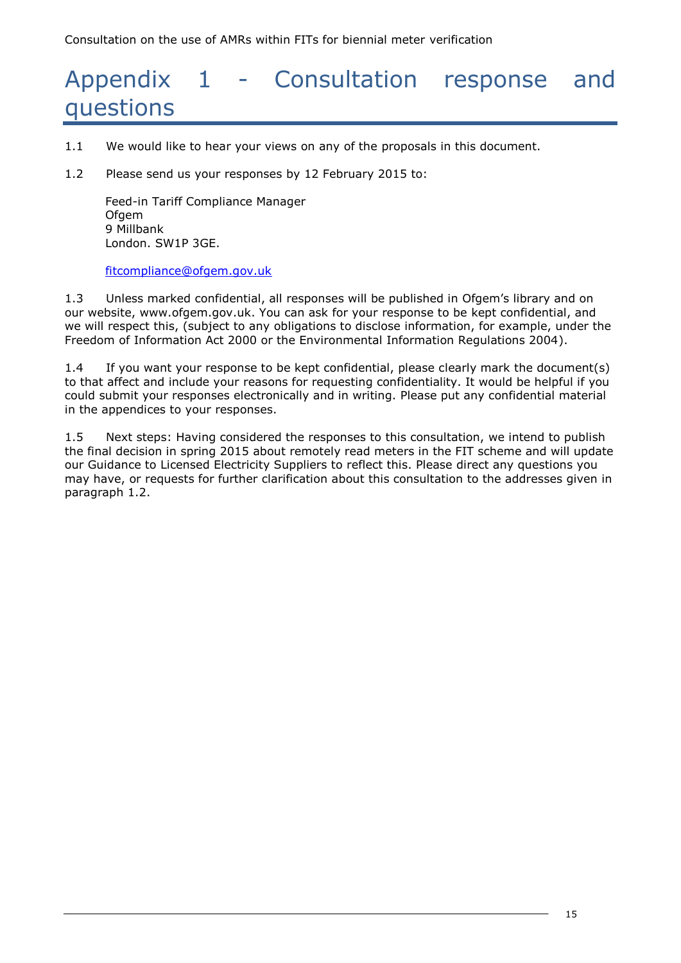## Appendix 1 - Consultation response and questions

- 1.1 We would like to hear your views on any of the proposals in this document.
- 1.2 Please send us your responses by 12 February 2015 to:

Feed-in Tariff Compliance Manager **Ofgem** 9 Millbank London. SW1P 3GE.

#### [fitcompliance@ofgem.gov.uk](mailto:fitcompliance@ofgem.gov.uk)

1.3 Unless marked confidential, all responses will be published in Ofgem's library and on our website, [www.ofgem.gov.uk.](http://www.ofgem.gov.uk/) You can ask for your response to be kept confidential, and we will respect this, (subject to any obligations to disclose information, for example, under the Freedom of Information Act 2000 or the Environmental Information Regulations 2004).

1.4 If you want your response to be kept confidential, please clearly mark the document(s) to that affect and include your reasons for requesting confidentiality. It would be helpful if you could submit your responses electronically and in writing. Please put any confidential material in the appendices to your responses.

1.5 Next steps: Having considered the responses to this consultation, we intend to publish the final decision in spring 2015 about remotely read meters in the FIT scheme and will update our Guidance to Licensed Electricity Suppliers to reflect this. Please direct any questions you may have, or requests for further clarification about this consultation to the addresses given in paragraph 1.2.